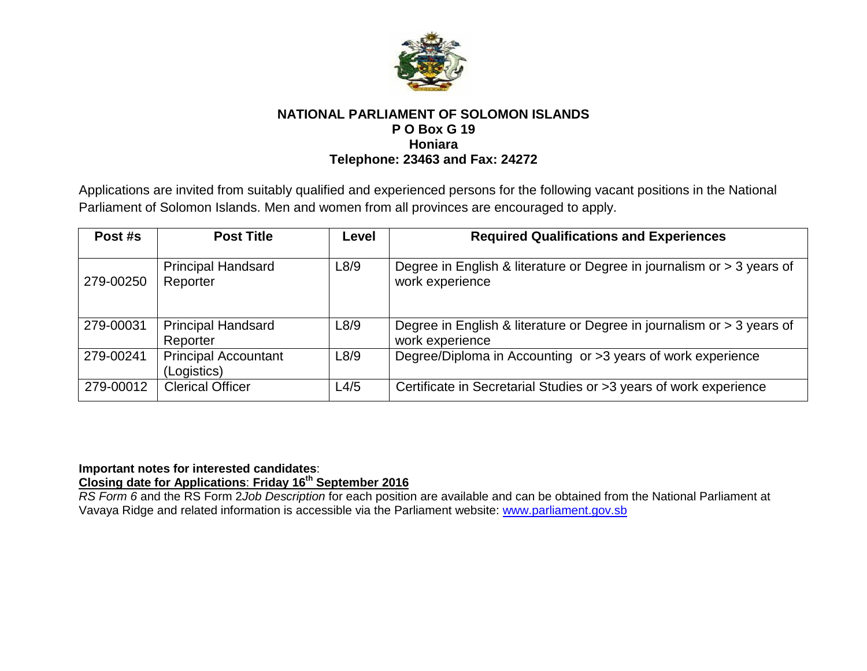

# **NATIONAL PARLIAMENT OF SOLOMON ISLANDS P O Box G 19 Honiara Telephone: 23463 and Fax: 24272**

Applications are invited from suitably qualified and experienced persons for the following vacant positions in the National Parliament of Solomon Islands. Men and women from all provinces are encouraged to apply.

| Post #s   | <b>Post Title</b>                          | Level | <b>Required Qualifications and Experiences</b>                                            |
|-----------|--------------------------------------------|-------|-------------------------------------------------------------------------------------------|
| 279-00250 | <b>Principal Handsard</b><br>Reporter      | L8/9  | Degree in English & literature or Degree in journalism or > 3 years of<br>work experience |
| 279-00031 | <b>Principal Handsard</b><br>Reporter      | L8/9  | Degree in English & literature or Degree in journalism or > 3 years of<br>work experience |
| 279-00241 | <b>Principal Accountant</b><br>(Logistics) | L8/9  | Degree/Diploma in Accounting or >3 years of work experience                               |
| 279-00012 | <b>Clerical Officer</b>                    | L4/5  | Certificate in Secretarial Studies or >3 years of work experience                         |

### **Important notes for interested candidates**: **Closing date for Applications**: **Friday 16th September 2016**

*RS Form 6* and the RS Form 2*Job Description* for each position are available and can be obtained from the National Parliament at Vavaya Ridge and related information is accessible via the Parliament website: [www.parliament.gov.sb](http://www.parliament.gov.sb/)